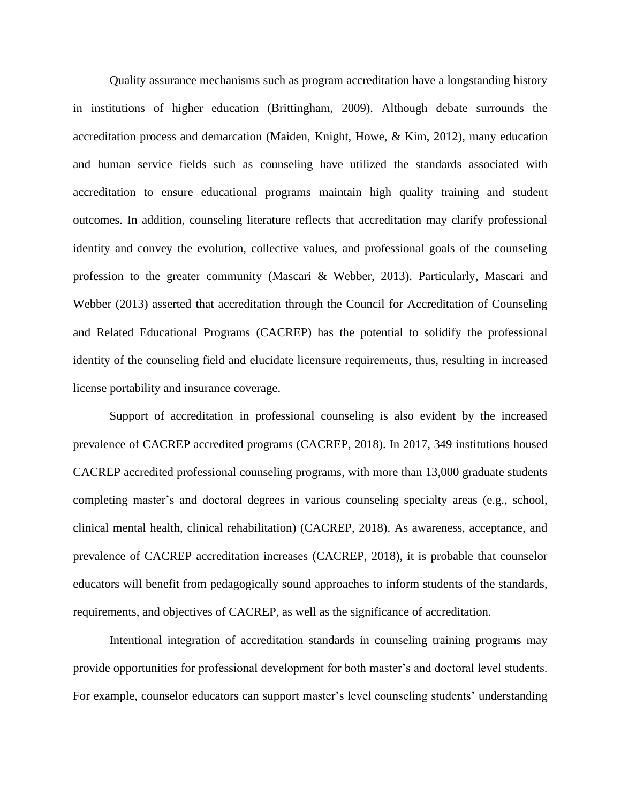Quality assurance mechanisms such as program accreditation have a longstanding history in institutions of higher education (Brittingham, 2009). Although debate surrounds the accreditation process and demarcation (Maiden, Knight, Howe, & Kim, 2012), many education and human service fields such as counseling have utilized the standards associated with accreditation to ensure educational programs maintain high quality training and student outcomes. In addition, counseling literature reflects that accreditation may clarify professional identity and convey the evolution, collective values, and professional goals of the counseling profession to the greater community (Mascari & Webber, 2013). Particularly, Mascari and Webber (2013) asserted that accreditation through the Council for Accreditation of Counseling and Related Educational Programs (CACREP) has the potential to solidify the professional identity of the counseling field and elucidate licensure requirements, thus, resulting in increased license portability and insurance coverage.

Support of accreditation in professional counseling is also evident by the increased prevalence of CACREP accredited programs (CACREP, 2018). In 2017, 349 institutions housed CACREP accredited professional counseling programs, with more than 13,000 graduate students completing master's and doctoral degrees in various counseling specialty areas (e.g., school, clinical mental health, clinical rehabilitation) (CACREP, 2018). As awareness, acceptance, and prevalence of CACREP accreditation increases (CACREP, 2018), it is probable that counselor educators will benefit from pedagogically sound approaches to inform students of the standards, requirements, and objectives of CACREP, as well as the significance of accreditation.

Intentional integration of accreditation standards in counseling training programs may provide opportunities for professional development for both master's and doctoral level students. For example, counselor educators can support master's level counseling students' understanding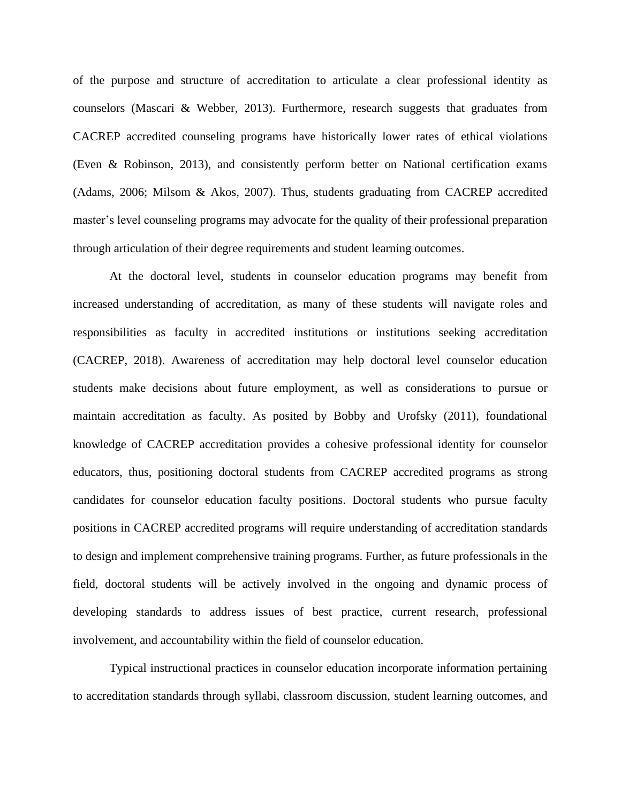of the purpose and structure of accreditation to articulate a clear professional identity as counselors (Mascari & Webber, 2013). Furthermore, research suggests that graduates from CACREP accredited counseling programs have historically lower rates of ethical violations (Even & Robinson, 2013), and consistently perform better on National certification exams (Adams, 2006; Milsom & Akos, 2007). Thus, students graduating from CACREP accredited master's level counseling programs may advocate for the quality of their professional preparation through articulation of their degree requirements and student learning outcomes.

At the doctoral level, students in counselor education programs may benefit from increased understanding of accreditation, as many of these students will navigate roles and responsibilities as faculty in accredited institutions or institutions seeking accreditation (CACREP, 2018). Awareness of accreditation may help doctoral level counselor education students make decisions about future employment, as well as considerations to pursue or maintain accreditation as faculty. As posited by Bobby and Urofsky (2011), foundational knowledge of CACREP accreditation provides a cohesive professional identity for counselor educators, thus, positioning doctoral students from CACREP accredited programs as strong candidates for counselor education faculty positions. Doctoral students who pursue faculty positions in CACREP accredited programs will require understanding of accreditation standards to design and implement comprehensive training programs. Further, as future professionals in the field, doctoral students will be actively involved in the ongoing and dynamic process of developing standards to address issues of best practice, current research, professional involvement, and accountability within the field of counselor education.

Typical instructional practices in counselor education incorporate information pertaining to accreditation standards through syllabi, classroom discussion, student learning outcomes, and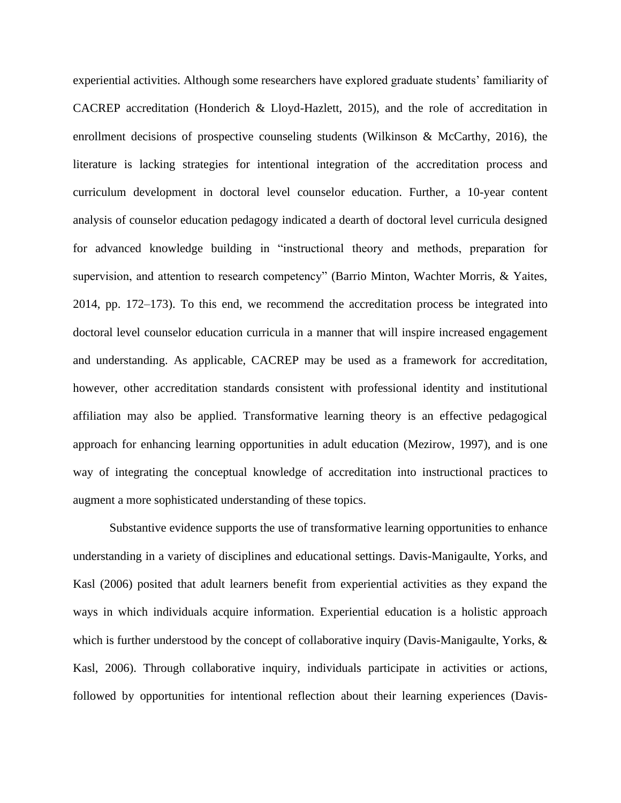experiential activities. Although some researchers have explored graduate students' familiarity of CACREP accreditation (Honderich & Lloyd-Hazlett, 2015), and the role of accreditation in enrollment decisions of prospective counseling students (Wilkinson & McCarthy, 2016), the literature is lacking strategies for intentional integration of the accreditation process and curriculum development in doctoral level counselor education. Further, a 10-year content analysis of counselor education pedagogy indicated a dearth of doctoral level curricula designed for advanced knowledge building in "instructional theory and methods, preparation for supervision, and attention to research competency" (Barrio Minton, Wachter Morris, & Yaites, 2014, pp. 172–173). To this end, we recommend the accreditation process be integrated into doctoral level counselor education curricula in a manner that will inspire increased engagement and understanding. As applicable, CACREP may be used as a framework for accreditation, however, other accreditation standards consistent with professional identity and institutional affiliation may also be applied. Transformative learning theory is an effective pedagogical approach for enhancing learning opportunities in adult education (Mezirow, 1997), and is one way of integrating the conceptual knowledge of accreditation into instructional practices to augment a more sophisticated understanding of these topics.

Substantive evidence supports the use of transformative learning opportunities to enhance understanding in a variety of disciplines and educational settings. Davis-Manigaulte, Yorks, and Kasl (2006) posited that adult learners benefit from experiential activities as they expand the ways in which individuals acquire information. Experiential education is a holistic approach which is further understood by the concept of collaborative inquiry (Davis-Manigaulte, Yorks, & Kasl, 2006). Through collaborative inquiry, individuals participate in activities or actions, followed by opportunities for intentional reflection about their learning experiences (Davis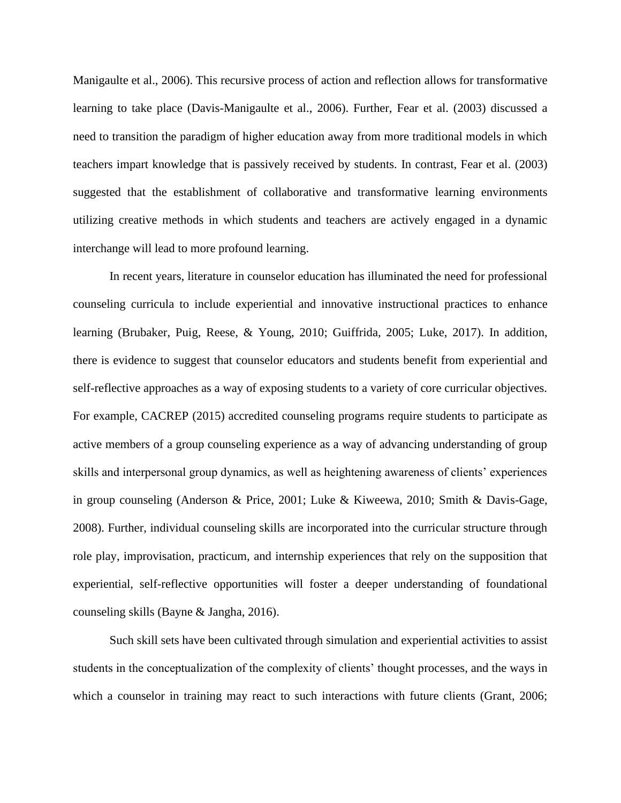Manigaulte et al., 2006). This recursive process of action and reflection allows for transformative learning to take place (Davis-Manigaulte et al., 2006). Further, Fear et al. (2003) discussed a need to transition the paradigm of higher education away from more traditional models in which teachers impart knowledge that is passively received by students. In contrast, Fear et al. (2003) suggested that the establishment of collaborative and transformative learning environments utilizing creative methods in which students and teachers are actively engaged in a dynamic interchange will lead to more profound learning.

In recent years, literature in counselor education has illuminated the need for professional counseling curricula to include experiential and innovative instructional practices to enhance learning (Brubaker, Puig, Reese, & Young, 2010; Guiffrida, 2005; Luke, 2017). In addition, there is evidence to suggest that counselor educators and students benefit from experiential and self-reflective approaches as a way of exposing students to a variety of core curricular objectives. For example, CACREP (2015) accredited counseling programs require students to participate as active members of a group counseling experience as a way of advancing understanding of group skills and interpersonal group dynamics, as well as heightening awareness of clients' experiences in group counseling (Anderson & Price, 2001; Luke & Kiweewa, 2010; Smith & Davis-Gage, 2008). Further, individual counseling skills are incorporated into the curricular structure through role play, improvisation, practicum, and internship experiences that rely on the supposition that experiential, self-reflective opportunities will foster a deeper understanding of foundational counseling skills (Bayne & Jangha, 2016).

Such skill sets have been cultivated through simulation and experiential activities to assist students in the conceptualization of the complexity of clients' thought processes, and the ways in which a counselor in training may react to such interactions with future clients (Grant, 2006;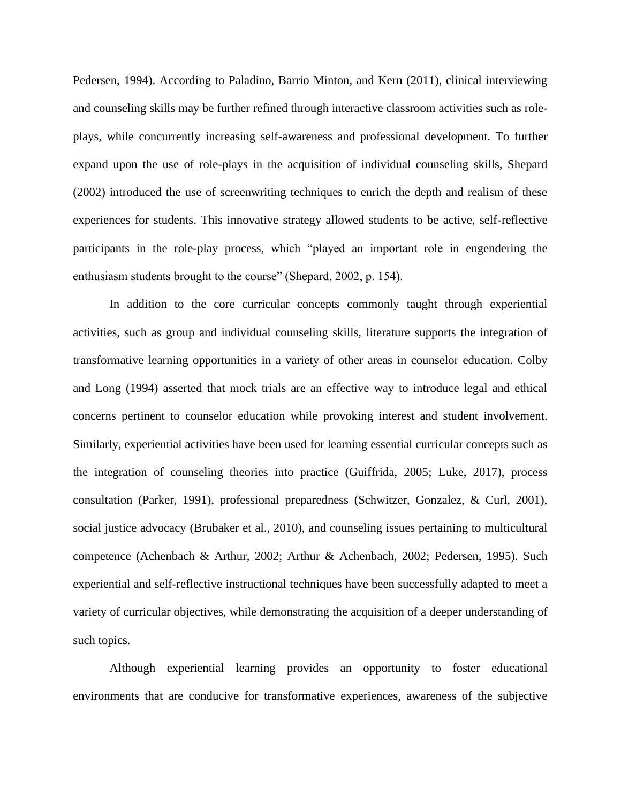Pedersen, 1994). According to Paladino, Barrio Minton, and Kern (2011), clinical interviewing and counseling skills may be further refined through interactive classroom activities such as roleplays, while concurrently increasing self-awareness and professional development. To further expand upon the use of role-plays in the acquisition of individual counseling skills, Shepard (2002) introduced the use of screenwriting techniques to enrich the depth and realism of these experiences for students. This innovative strategy allowed students to be active, self-reflective participants in the role-play process, which "played an important role in engendering the enthusiasm students brought to the course" (Shepard, 2002, p. 154).

In addition to the core curricular concepts commonly taught through experiential activities, such as group and individual counseling skills, literature supports the integration of transformative learning opportunities in a variety of other areas in counselor education. Colby and Long (1994) asserted that mock trials are an effective way to introduce legal and ethical concerns pertinent to counselor education while provoking interest and student involvement. Similarly, experiential activities have been used for learning essential curricular concepts such as the integration of counseling theories into practice (Guiffrida, 2005; Luke, 2017), process consultation (Parker, 1991), professional preparedness (Schwitzer, Gonzalez, & Curl, 2001), social justice advocacy (Brubaker et al., 2010), and counseling issues pertaining to multicultural competence (Achenbach & Arthur, 2002; Arthur & Achenbach, 2002; Pedersen, 1995). Such experiential and self-reflective instructional techniques have been successfully adapted to meet a variety of curricular objectives, while demonstrating the acquisition of a deeper understanding of such topics.

Although experiential learning provides an opportunity to foster educational environments that are conducive for transformative experiences, awareness of the subjective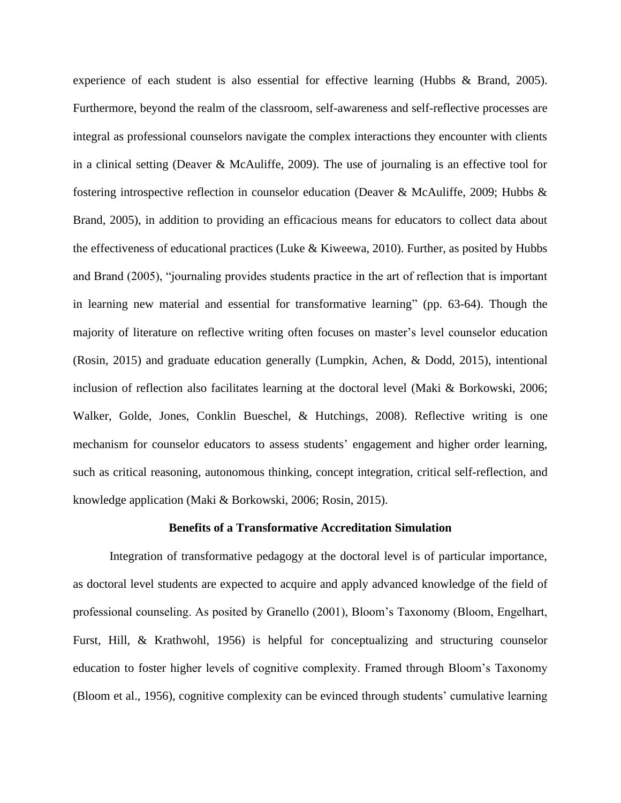experience of each student is also essential for effective learning (Hubbs & Brand, 2005). Furthermore, beyond the realm of the classroom, self-awareness and self-reflective processes are integral as professional counselors navigate the complex interactions they encounter with clients in a clinical setting (Deaver & McAuliffe, 2009). The use of journaling is an effective tool for fostering introspective reflection in counselor education (Deaver & McAuliffe, 2009; Hubbs  $\&$ Brand, 2005), in addition to providing an efficacious means for educators to collect data about the effectiveness of educational practices (Luke  $\&$  Kiweewa, 2010). Further, as posited by Hubbs and Brand (2005), "journaling provides students practice in the art of reflection that is important in learning new material and essential for transformative learning" (pp. 63-64). Though the majority of literature on reflective writing often focuses on master's level counselor education (Rosin, 2015) and graduate education generally (Lumpkin, Achen, & Dodd, 2015), intentional inclusion of reflection also facilitates learning at the doctoral level (Maki & Borkowski, 2006; Walker, Golde, Jones, Conklin Bueschel, & Hutchings, 2008). Reflective writing is one mechanism for counselor educators to assess students' engagement and higher order learning, such as critical reasoning, autonomous thinking, concept integration, critical self-reflection, and knowledge application (Maki & Borkowski, 2006; Rosin, 2015).

## **Benefits of a Transformative Accreditation Simulation**

Integration of transformative pedagogy at the doctoral level is of particular importance, as doctoral level students are expected to acquire and apply advanced knowledge of the field of professional counseling. As posited by Granello (2001), Bloom's Taxonomy (Bloom, Engelhart, Furst, Hill, & Krathwohl, 1956) is helpful for conceptualizing and structuring counselor education to foster higher levels of cognitive complexity. Framed through Bloom's Taxonomy (Bloom et al., 1956), cognitive complexity can be evinced through students' cumulative learning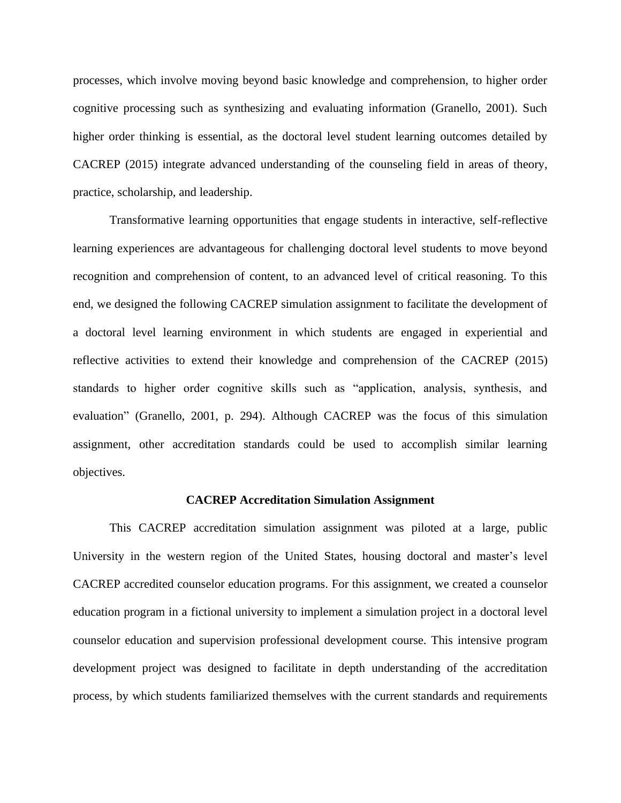processes, which involve moving beyond basic knowledge and comprehension, to higher order cognitive processing such as synthesizing and evaluating information (Granello, 2001). Such higher order thinking is essential, as the doctoral level student learning outcomes detailed by CACREP (2015) integrate advanced understanding of the counseling field in areas of theory, practice, scholarship, and leadership.

Transformative learning opportunities that engage students in interactive, self-reflective learning experiences are advantageous for challenging doctoral level students to move beyond recognition and comprehension of content, to an advanced level of critical reasoning. To this end, we designed the following CACREP simulation assignment to facilitate the development of a doctoral level learning environment in which students are engaged in experiential and reflective activities to extend their knowledge and comprehension of the CACREP (2015) standards to higher order cognitive skills such as "application, analysis, synthesis, and evaluation" (Granello, 2001, p. 294). Although CACREP was the focus of this simulation assignment, other accreditation standards could be used to accomplish similar learning objectives.

#### **CACREP Accreditation Simulation Assignment**

This CACREP accreditation simulation assignment was piloted at a large, public University in the western region of the United States, housing doctoral and master's level CACREP accredited counselor education programs. For this assignment, we created a counselor education program in a fictional university to implement a simulation project in a doctoral level counselor education and supervision professional development course. This intensive program development project was designed to facilitate in depth understanding of the accreditation process, by which students familiarized themselves with the current standards and requirements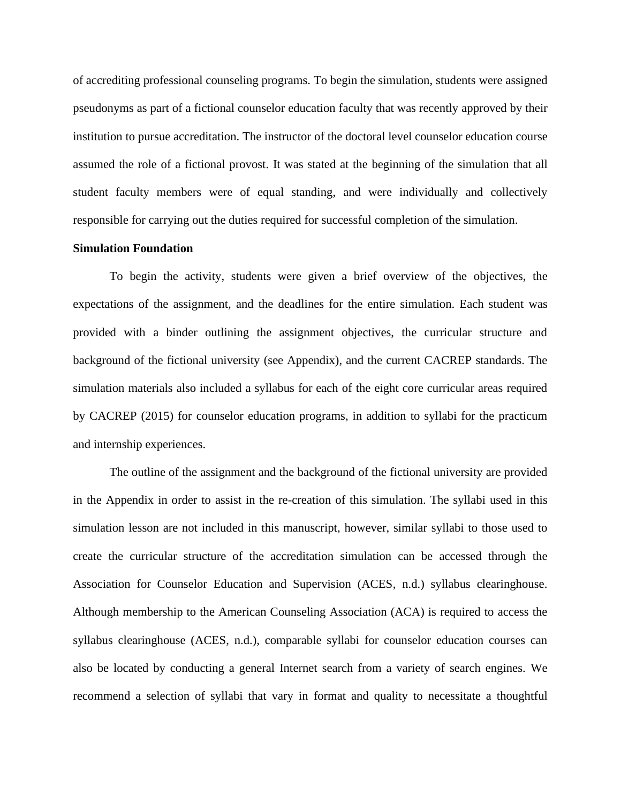of accrediting professional counseling programs. To begin the simulation, students were assigned pseudonyms as part of a fictional counselor education faculty that was recently approved by their institution to pursue accreditation. The instructor of the doctoral level counselor education course assumed the role of a fictional provost. It was stated at the beginning of the simulation that all student faculty members were of equal standing, and were individually and collectively responsible for carrying out the duties required for successful completion of the simulation.

### **Simulation Foundation**

To begin the activity, students were given a brief overview of the objectives, the expectations of the assignment, and the deadlines for the entire simulation. Each student was provided with a binder outlining the assignment objectives, the curricular structure and background of the fictional university (see Appendix), and the current CACREP standards. The simulation materials also included a syllabus for each of the eight core curricular areas required by CACREP (2015) for counselor education programs, in addition to syllabi for the practicum and internship experiences.

The outline of the assignment and the background of the fictional university are provided in the Appendix in order to assist in the re-creation of this simulation. The syllabi used in this simulation lesson are not included in this manuscript, however, similar syllabi to those used to create the curricular structure of the accreditation simulation can be accessed through the Association for Counselor Education and Supervision (ACES, n.d.) syllabus clearinghouse. Although membership to the American Counseling Association (ACA) is required to access the syllabus clearinghouse (ACES, n.d.), comparable syllabi for counselor education courses can also be located by conducting a general Internet search from a variety of search engines. We recommend a selection of syllabi that vary in format and quality to necessitate a thoughtful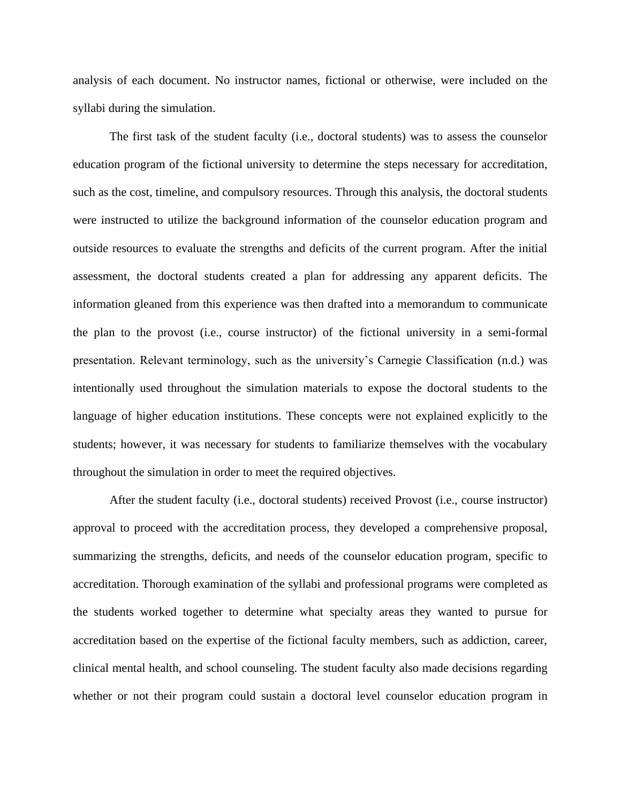analysis of each document. No instructor names, fictional or otherwise, were included on the syllabi during the simulation.

The first task of the student faculty (i.e., doctoral students) was to assess the counselor education program of the fictional university to determine the steps necessary for accreditation, such as the cost, timeline, and compulsory resources. Through this analysis, the doctoral students were instructed to utilize the background information of the counselor education program and outside resources to evaluate the strengths and deficits of the current program. After the initial assessment, the doctoral students created a plan for addressing any apparent deficits. The information gleaned from this experience was then drafted into a memorandum to communicate the plan to the provost (i.e., course instructor) of the fictional university in a semi-formal presentation. Relevant terminology, such as the university's Carnegie Classification (n.d.) was intentionally used throughout the simulation materials to expose the doctoral students to the language of higher education institutions. These concepts were not explained explicitly to the students; however, it was necessary for students to familiarize themselves with the vocabulary throughout the simulation in order to meet the required objectives.

After the student faculty (i.e., doctoral students) received Provost (i.e., course instructor) approval to proceed with the accreditation process, they developed a comprehensive proposal, summarizing the strengths, deficits, and needs of the counselor education program, specific to accreditation. Thorough examination of the syllabi and professional programs were completed as the students worked together to determine what specialty areas they wanted to pursue for accreditation based on the expertise of the fictional faculty members, such as addiction, career, clinical mental health, and school counseling. The student faculty also made decisions regarding whether or not their program could sustain a doctoral level counselor education program in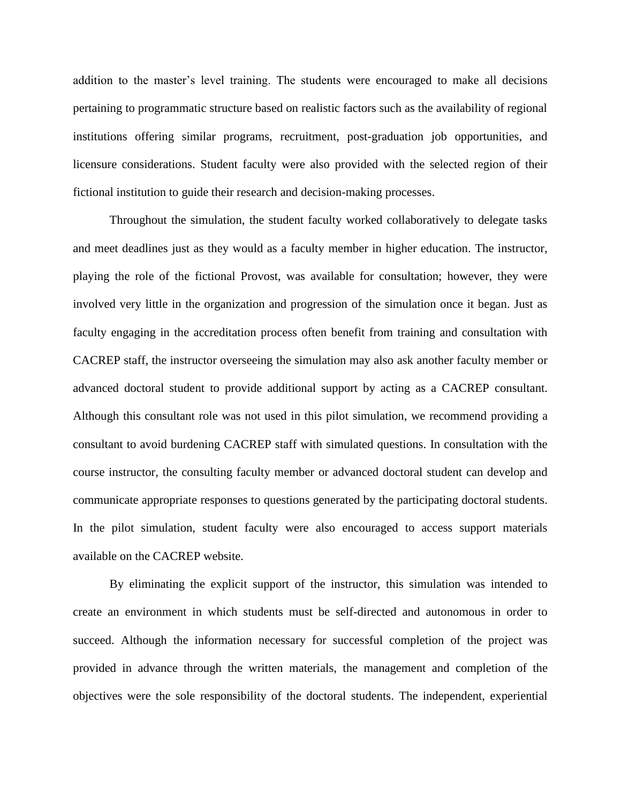addition to the master's level training. The students were encouraged to make all decisions pertaining to programmatic structure based on realistic factors such as the availability of regional institutions offering similar programs, recruitment, post-graduation job opportunities, and licensure considerations. Student faculty were also provided with the selected region of their fictional institution to guide their research and decision-making processes.

Throughout the simulation, the student faculty worked collaboratively to delegate tasks and meet deadlines just as they would as a faculty member in higher education. The instructor, playing the role of the fictional Provost, was available for consultation; however, they were involved very little in the organization and progression of the simulation once it began. Just as faculty engaging in the accreditation process often benefit from training and consultation with CACREP staff, the instructor overseeing the simulation may also ask another faculty member or advanced doctoral student to provide additional support by acting as a CACREP consultant. Although this consultant role was not used in this pilot simulation, we recommend providing a consultant to avoid burdening CACREP staff with simulated questions. In consultation with the course instructor, the consulting faculty member or advanced doctoral student can develop and communicate appropriate responses to questions generated by the participating doctoral students. In the pilot simulation, student faculty were also encouraged to access support materials available on the CACREP website.

By eliminating the explicit support of the instructor, this simulation was intended to create an environment in which students must be self-directed and autonomous in order to succeed. Although the information necessary for successful completion of the project was provided in advance through the written materials, the management and completion of the objectives were the sole responsibility of the doctoral students. The independent, experiential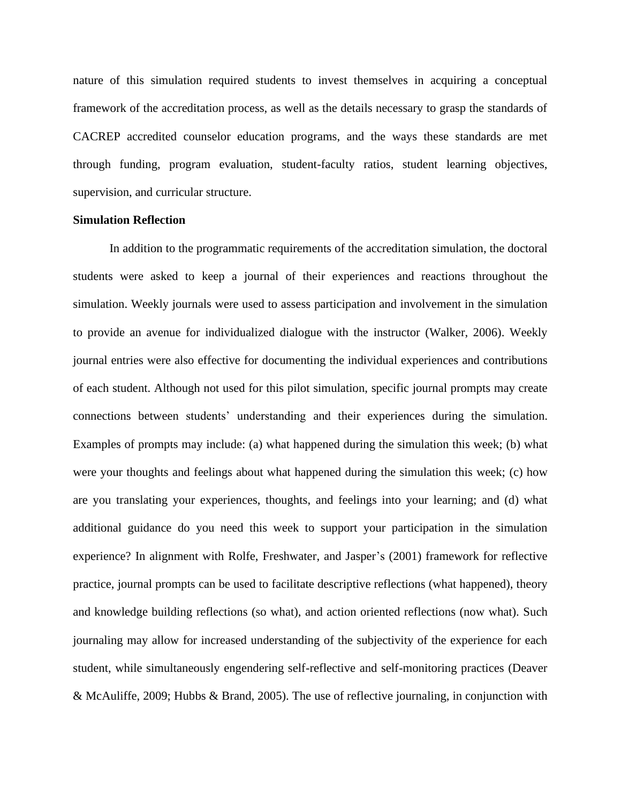nature of this simulation required students to invest themselves in acquiring a conceptual framework of the accreditation process, as well as the details necessary to grasp the standards of CACREP accredited counselor education programs, and the ways these standards are met through funding, program evaluation, student-faculty ratios, student learning objectives, supervision, and curricular structure.

## **Simulation Reflection**

In addition to the programmatic requirements of the accreditation simulation, the doctoral students were asked to keep a journal of their experiences and reactions throughout the simulation. Weekly journals were used to assess participation and involvement in the simulation to provide an avenue for individualized dialogue with the instructor (Walker, 2006). Weekly journal entries were also effective for documenting the individual experiences and contributions of each student. Although not used for this pilot simulation, specific journal prompts may create connections between students' understanding and their experiences during the simulation. Examples of prompts may include: (a) what happened during the simulation this week; (b) what were your thoughts and feelings about what happened during the simulation this week; (c) how are you translating your experiences, thoughts, and feelings into your learning; and (d) what additional guidance do you need this week to support your participation in the simulation experience? In alignment with Rolfe, Freshwater, and Jasper's (2001) framework for reflective practice, journal prompts can be used to facilitate descriptive reflections (what happened), theory and knowledge building reflections (so what), and action oriented reflections (now what). Such journaling may allow for increased understanding of the subjectivity of the experience for each student, while simultaneously engendering self-reflective and self-monitoring practices (Deaver & McAuliffe, 2009; Hubbs & Brand, 2005). The use of reflective journaling, in conjunction with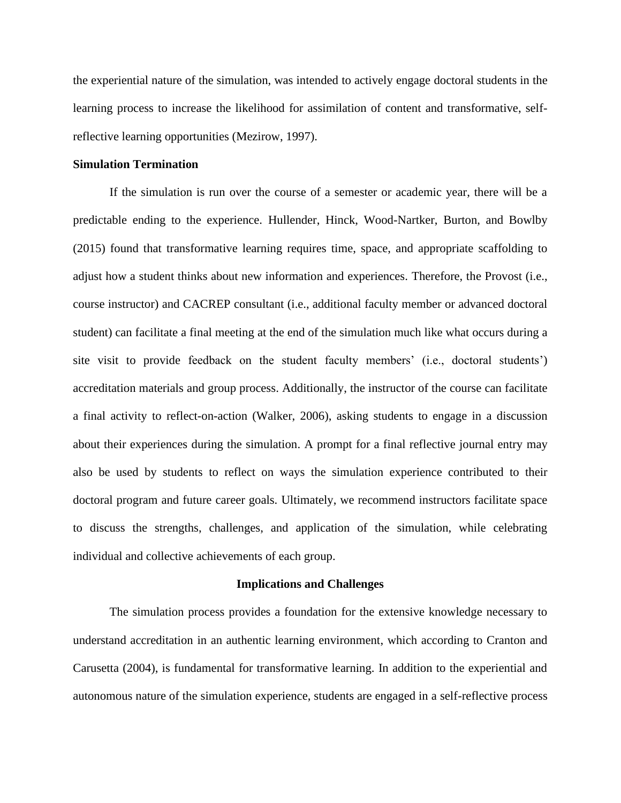the experiential nature of the simulation, was intended to actively engage doctoral students in the learning process to increase the likelihood for assimilation of content and transformative, selfreflective learning opportunities (Mezirow, 1997).

# **Simulation Termination**

If the simulation is run over the course of a semester or academic year, there will be a predictable ending to the experience. Hullender, Hinck, Wood-Nartker, Burton, and Bowlby (2015) found that transformative learning requires time, space, and appropriate scaffolding to adjust how a student thinks about new information and experiences. Therefore, the Provost (i.e., course instructor) and CACREP consultant (i.e., additional faculty member or advanced doctoral student) can facilitate a final meeting at the end of the simulation much like what occurs during a site visit to provide feedback on the student faculty members' (i.e., doctoral students') accreditation materials and group process. Additionally, the instructor of the course can facilitate a final activity to reflect-on-action (Walker, 2006), asking students to engage in a discussion about their experiences during the simulation. A prompt for a final reflective journal entry may also be used by students to reflect on ways the simulation experience contributed to their doctoral program and future career goals. Ultimately, we recommend instructors facilitate space to discuss the strengths, challenges, and application of the simulation, while celebrating individual and collective achievements of each group.

### **Implications and Challenges**

The simulation process provides a foundation for the extensive knowledge necessary to understand accreditation in an authentic learning environment, which according to Cranton and Carusetta (2004), is fundamental for transformative learning. In addition to the experiential and autonomous nature of the simulation experience, students are engaged in a self-reflective process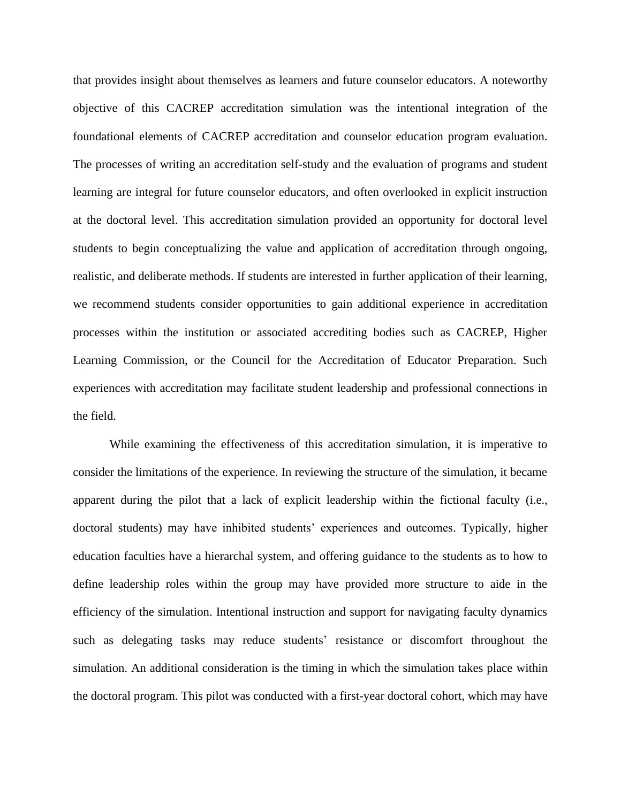that provides insight about themselves as learners and future counselor educators. A noteworthy objective of this CACREP accreditation simulation was the intentional integration of the foundational elements of CACREP accreditation and counselor education program evaluation. The processes of writing an accreditation self-study and the evaluation of programs and student learning are integral for future counselor educators, and often overlooked in explicit instruction at the doctoral level. This accreditation simulation provided an opportunity for doctoral level students to begin conceptualizing the value and application of accreditation through ongoing, realistic, and deliberate methods. If students are interested in further application of their learning, we recommend students consider opportunities to gain additional experience in accreditation processes within the institution or associated accrediting bodies such as CACREP, Higher Learning Commission, or the Council for the Accreditation of Educator Preparation. Such experiences with accreditation may facilitate student leadership and professional connections in the field.

While examining the effectiveness of this accreditation simulation, it is imperative to consider the limitations of the experience. In reviewing the structure of the simulation, it became apparent during the pilot that a lack of explicit leadership within the fictional faculty (i.e., doctoral students) may have inhibited students' experiences and outcomes. Typically, higher education faculties have a hierarchal system, and offering guidance to the students as to how to define leadership roles within the group may have provided more structure to aide in the efficiency of the simulation. Intentional instruction and support for navigating faculty dynamics such as delegating tasks may reduce students' resistance or discomfort throughout the simulation. An additional consideration is the timing in which the simulation takes place within the doctoral program. This pilot was conducted with a first-year doctoral cohort, which may have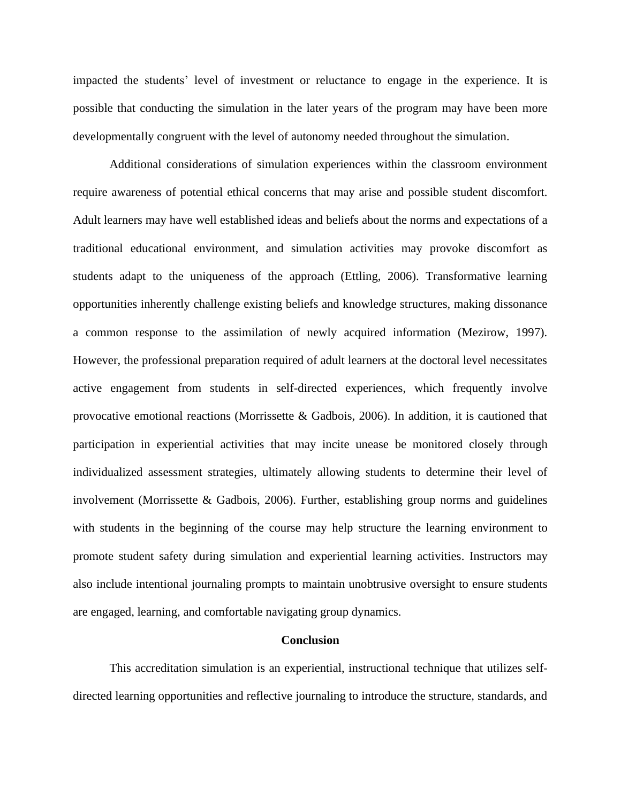impacted the students' level of investment or reluctance to engage in the experience. It is possible that conducting the simulation in the later years of the program may have been more developmentally congruent with the level of autonomy needed throughout the simulation.

Additional considerations of simulation experiences within the classroom environment require awareness of potential ethical concerns that may arise and possible student discomfort. Adult learners may have well established ideas and beliefs about the norms and expectations of a traditional educational environment, and simulation activities may provoke discomfort as students adapt to the uniqueness of the approach (Ettling, 2006). Transformative learning opportunities inherently challenge existing beliefs and knowledge structures, making dissonance a common response to the assimilation of newly acquired information (Mezirow, 1997). However, the professional preparation required of adult learners at the doctoral level necessitates active engagement from students in self-directed experiences, which frequently involve provocative emotional reactions (Morrissette  $\&$  Gadbois, 2006). In addition, it is cautioned that participation in experiential activities that may incite unease be monitored closely through individualized assessment strategies, ultimately allowing students to determine their level of involvement (Morrissette & Gadbois, 2006). Further, establishing group norms and guidelines with students in the beginning of the course may help structure the learning environment to promote student safety during simulation and experiential learning activities. Instructors may also include intentional journaling prompts to maintain unobtrusive oversight to ensure students are engaged, learning, and comfortable navigating group dynamics.

## **Conclusion**

This accreditation simulation is an experiential, instructional technique that utilizes selfdirected learning opportunities and reflective journaling to introduce the structure, standards, and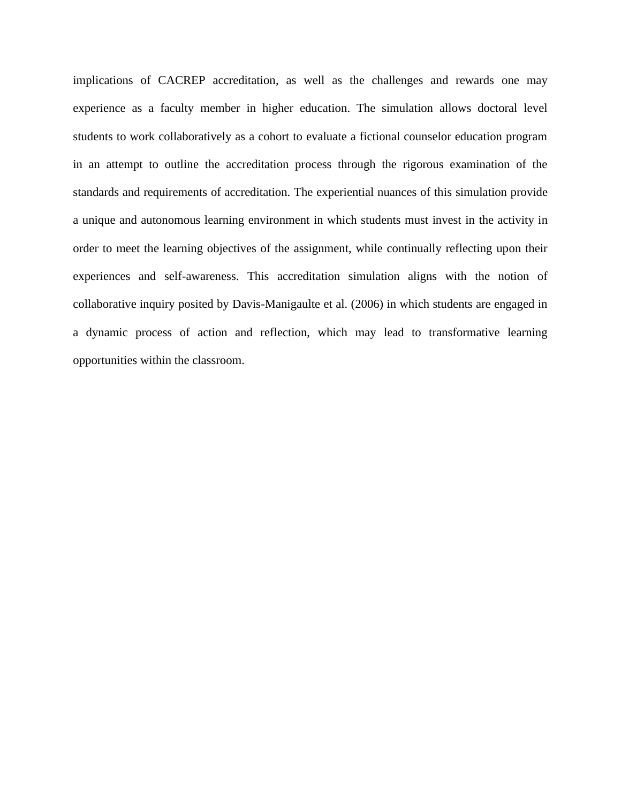implications of CACREP accreditation, as well as the challenges and rewards one may experience as a faculty member in higher education. The simulation allows doctoral level students to work collaboratively as a cohort to evaluate a fictional counselor education program in an attempt to outline the accreditation process through the rigorous examination of the standards and requirements of accreditation. The experiential nuances of this simulation provide a unique and autonomous learning environment in which students must invest in the activity in order to meet the learning objectives of the assignment, while continually reflecting upon their experiences and self-awareness. This accreditation simulation aligns with the notion of collaborative inquiry posited by Davis-Manigaulte et al. (2006) in which students are engaged in a dynamic process of action and reflection, which may lead to transformative learning opportunities within the classroom.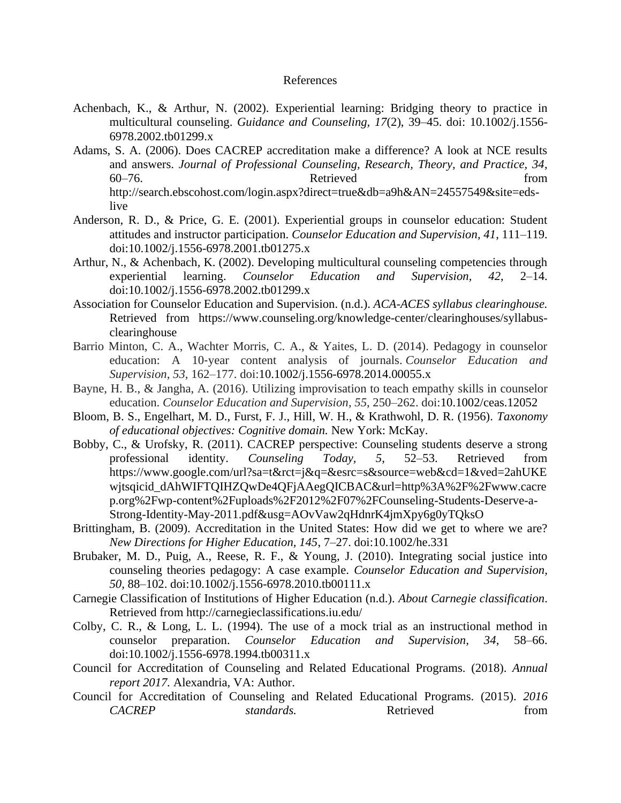### References

- Achenbach, K., & Arthur, N. (2002). Experiential learning: Bridging theory to practice in multicultural counseling. *Guidance and Counseling, 17*(2), 39–45. doi: 10.1002/j.1556- 6978.2002.tb01299.x
- Adams, S. A. (2006). Does CACREP accreditation make a difference? A look at NCE results and answers. *Journal of Professional Counseling, Research, Theory, and Practice, 34*, 60–76. Retrieved from http://search.ebscohost.com/login.aspx?direct=true&db=a9h&AN=24557549&site=edslive
- Anderson, R. D., & Price, G. E. (2001). Experiential groups in counselor education: Student attitudes and instructor participation. *Counselor Education and Supervision, 41*, 111–119. doi:10.1002/j.1556-6978.2001.tb01275.x
- Arthur, N., & Achenbach, K. (2002). Developing multicultural counseling competencies through experiential learning. *Counselor Education and Supervision, 42*, 2–14. doi:10.1002/j.1556-6978.2002.tb01299.x
- Association for Counselor Education and Supervision. (n.d.). *ACA-ACES syllabus clearinghouse.*  Retrieved from https://www.counseling.org/knowledge-center/clearinghouses/syllabusclearinghouse
- Barrio Minton, C. A., Wachter Morris, C. A., & Yaites, L. D. (2014). Pedagogy in counselor education: A 10‐year content analysis of journals. *Counselor Education and Supervision*, *53*, 162–177. doi:10.1002/j.1556-6978.2014.00055.x
- Bayne, H. B., & Jangha, A. (2016). Utilizing improvisation to teach empathy skills in counselor education. *Counselor Education and Supervision*, *55*, 250–262. doi:10.1002/ceas.12052
- Bloom, B. S., Engelhart, M. D., Furst, F. J., Hill, W. H., & Krathwohl, D. R. (1956). *Taxonomy of educational objectives: Cognitive domain.* New York: McKay.
- Bobby, C., & Urofsky, R. (2011). CACREP perspective: Counseling students deserve a strong professional identity. *Counseling Today, 5*, 52–53. Retrieved from https://www.google.com/url?sa=t&rct=j&q=&esrc=s&source=web&cd=1&ved=2ahUKE wjtsqicid\_dAhWIFTQIHZQwDe4QFjAAegQICBAC&url=http%3A%2F%2Fwww.cacre p.org%2Fwp-content%2Fuploads%2F2012%2F07%2FCounseling-Students-Deserve-a-Strong-Identity-May-2011.pdf&usg=AOvVaw2qHdnrK4jmXpy6g0yTQksO
- Brittingham, B. (2009). Accreditation in the United States: How did we get to where we are? *New Directions for Higher Education, 145*, 7–27. doi:10.1002/he.331
- Brubaker, M. D., Puig, A., Reese, R. F., & Young, J. (2010). Integrating social justice into counseling theories pedagogy: A case example. *Counselor Education and Supervision, 50,* 88–102. doi:10.1002/j.1556-6978.2010.tb00111.x
- Carnegie Classification of Institutions of Higher Education (n.d.). *About Carnegie classification*. Retrieved from http://carnegieclassifications.iu.edu/
- Colby, C. R., & Long, L. L. (1994). The use of a mock trial as an instructional method in counselor preparation. *Counselor Education and Supervision, 34*, 58–66. doi:10.1002/j.1556-6978.1994.tb00311.x
- Council for Accreditation of Counseling and Related Educational Programs. (2018). *Annual report 2017.* Alexandria, VA: Author.
- Council for Accreditation of Counseling and Related Educational Programs. (2015). *2016 CACREP standards.* Retrieved from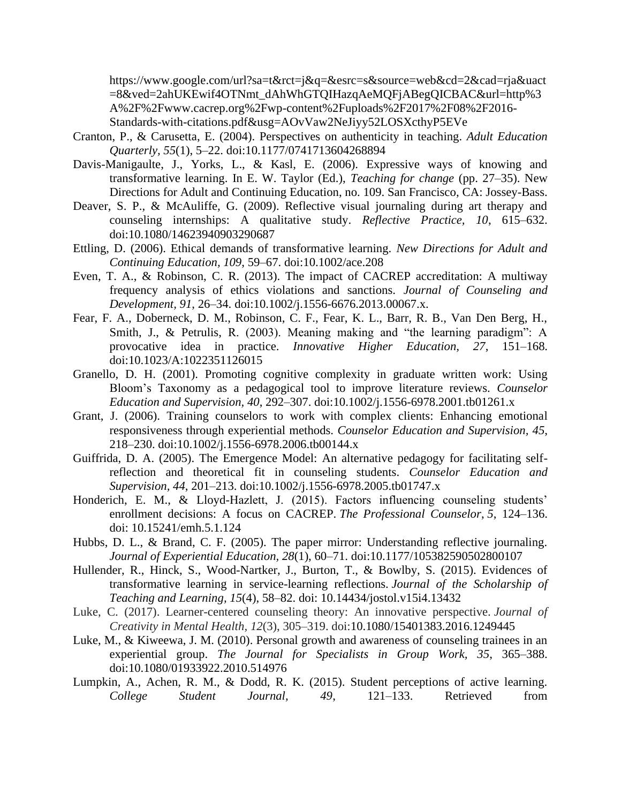https://www.google.com/url?sa=t&rct=j&q=&esrc=s&source=web&cd=2&cad=rja&uact =8&ved=2ahUKEwif4OTNmt\_dAhWhGTQIHazqAeMQFjABegQICBAC&url=http%3 A%2F%2Fwww.cacrep.org%2Fwp-content%2Fuploads%2F2017%2F08%2F2016- Standards-with-citations.pdf&usg=AOvVaw2NeJiyy52LOSXcthyP5EVe

- Cranton, P., & Carusetta, E. (2004). Perspectives on authenticity in teaching. *Adult Education Quarterly, 55*(1), 5–22. doi:10.1177/0741713604268894
- Davis-Manigaulte, J., Yorks, L., & Kasl, E. (2006). Expressive ways of knowing and transformative learning. In E. W. Taylor (Ed.), *Teaching for change* (pp. 27–35). New Directions for Adult and Continuing Education, no. 109. San Francisco, CA: Jossey-Bass.
- Deaver, S. P., & McAuliffe, G. (2009). Reflective visual journaling during art therapy and counseling internships: A qualitative study. *Reflective Practice, 10*, 615–632. doi:10.1080/14623940903290687
- Ettling, D. (2006). Ethical demands of transformative learning. *New Directions for Adult and Continuing Education, 109*, 59–67. doi:10.1002/ace.208
- Even, T. A., & Robinson, C. R. (2013). The impact of CACREP accreditation: A multiway frequency analysis of ethics violations and sanctions. *Journal of Counseling and Development, 91*, 26–34. doi:10.1002/j.1556-6676.2013.00067.x.
- Fear, F. A., Doberneck, D. M., Robinson, C. F., Fear, K. L., Barr, R. B., Van Den Berg, H., Smith, J., & Petrulis, R. (2003). Meaning making and "the learning paradigm": A provocative idea in practice. *Innovative Higher Education, 27*, 151–168. doi:10.1023/A:1022351126015
- Granello, D. H. (2001). Promoting cognitive complexity in graduate written work: Using Bloom's Taxonomy as a pedagogical tool to improve literature reviews. *Counselor Education and Supervision, 40*, 292–307. doi:10.1002/j.1556-6978.2001.tb01261.x
- Grant, J. (2006). Training counselors to work with complex clients: Enhancing emotional responsiveness through experiential methods. *Counselor Education and Supervision, 45*, 218–230. doi:10.1002/j.1556-6978.2006.tb00144.x
- Guiffrida, D. A. (2005). The Emergence Model: An alternative pedagogy for facilitating selfreflection and theoretical fit in counseling students. *Counselor Education and Supervision, 44*, 201–213. doi:10.1002/j.1556-6978.2005.tb01747.x
- Honderich, E. M., & Lloyd-Hazlett, J. (2015). Factors influencing counseling students' enrollment decisions: A focus on CACREP. *The Professional Counselor*, *5*, 124–136. doi: 10.15241/emh.5.1.124
- Hubbs, D. L., & Brand, C. F. (2005). The paper mirror: Understanding reflective journaling. *Journal of Experiential Education, 28*(1), 60–71. doi:10.1177/105382590502800107
- Hullender, R., Hinck, S., Wood-Nartker, J., Burton, T., & Bowlby, S. (2015). Evidences of transformative learning in service-learning reflections. *Journal of the Scholarship of Teaching and Learning, 15*(4), 58–82. doi: 10.14434/jostol.v15i4.13432
- Luke, C. (2017). Learner-centered counseling theory: An innovative perspective. *Journal of Creativity in Mental Health, 12*(3), 305–319. doi:10.1080/15401383.2016.1249445
- Luke, M., & Kiweewa, J. M. (2010). Personal growth and awareness of counseling trainees in an experiential group. *The Journal for Specialists in Group Work, 35*, 365–388. doi:10.1080/01933922.2010.514976
- Lumpkin, A., Achen, R. M., & Dodd, R. K. (2015). Student perceptions of active learning. *College Student Journal, 49*, 121–133. Retrieved from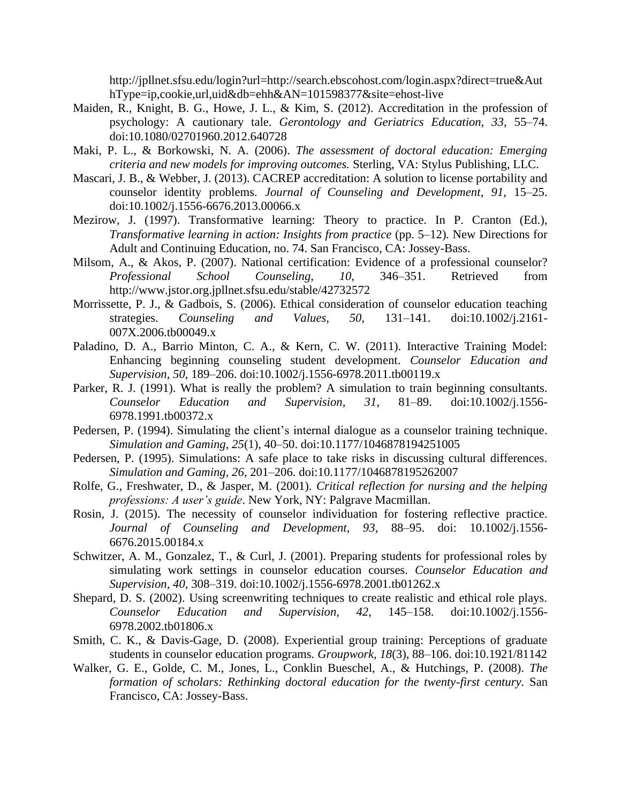http://jpllnet.sfsu.edu/login?url=http://search.ebscohost.com/login.aspx?direct=true&Aut hType=ip,cookie,url,uid&db=ehh&AN=101598377&site=ehost-live

- Maiden, R., Knight, B. G., Howe, J. L., & Kim, S. (2012). Accreditation in the profession of psychology: A cautionary tale. *Gerontology and Geriatrics Education, 33*, 55–74. doi:10.1080/02701960.2012.640728
- Maki, P. L., & Borkowski, N. A. (2006). *The assessment of doctoral education: Emerging criteria and new models for improving outcomes.* Sterling, VA: Stylus Publishing, LLC.
- Mascari, J. B., & Webber, J. (2013). CACREP accreditation: A solution to license portability and counselor identity problems. *Journal of Counseling and Development, 91*, 15–25. doi:10.1002/j.1556-6676.2013.00066.x
- Mezirow, J. (1997). Transformative learning: Theory to practice. In P. Cranton (Ed.), *Transformative learning in action: Insights from practice (pp. 5–12). New Directions for* Adult and Continuing Education, no. 74. San Francisco, CA: Jossey-Bass.
- Milsom, A., & Akos, P. (2007). National certification: Evidence of a professional counselor? *Professional School Counseling, 10*, 346–351. Retrieved from http://www.jstor.org.jpllnet.sfsu.edu/stable/42732572
- Morrissette, P. J., & Gadbois, S. (2006). Ethical consideration of counselor education teaching strategies. *Counseling and Values, 50*, 131–141. doi:10.1002/j.2161- 007X.2006.tb00049.x
- Paladino, D. A., Barrio Minton, C. A., & Kern, C. W. (2011). Interactive Training Model: Enhancing beginning counseling student development. *Counselor Education and Supervision, 50*, 189–206. doi:10.1002/j.1556-6978.2011.tb00119.x
- Parker, R. J. (1991). What is really the problem? A simulation to train beginning consultants. *Counselor Education and Supervision, 31*, 81–89. doi:10.1002/j.1556- 6978.1991.tb00372.x
- Pedersen, P. (1994). Simulating the client's internal dialogue as a counselor training technique. *Simulation and Gaming, 25*(1), 40–50. doi:10.1177/1046878194251005
- Pedersen, P. (1995). Simulations: A safe place to take risks in discussing cultural differences. *Simulation and Gaming, 26*, 201–206. doi:10.1177/1046878195262007
- Rolfe, G., Freshwater, D., & Jasper, M. (2001). *Critical reflection for nursing and the helping professions: A user's guide*. New York, NY: Palgrave Macmillan.
- Rosin, J. (2015). The necessity of counselor individuation for fostering reflective practice. *Journal of Counseling and Development, 93,* 88–95. doi: 10.1002/j.1556- 6676.2015.00184.x
- Schwitzer, A. M., Gonzalez, T., & Curl, J. (2001). Preparing students for professional roles by simulating work settings in counselor education courses. *Counselor Education and Supervision, 40*, 308–319. doi:10.1002/j.1556-6978.2001.tb01262.x
- Shepard, D. S. (2002). Using screenwriting techniques to create realistic and ethical role plays. *Counselor Education and Supervision, 42*, 145–158. doi:10.1002/j.1556- 6978.2002.tb01806.x
- Smith, C. K., & Davis-Gage, D. (2008). Experiential group training: Perceptions of graduate students in counselor education programs. *Groupwork, 18*(3), 88–106. doi:10.1921/81142
- Walker, G. E., Golde, C. M., Jones, L., Conklin Bueschel, A., & Hutchings, P. (2008). *The formation of scholars: Rethinking doctoral education for the twenty-first century.* San Francisco, CA: Jossey-Bass.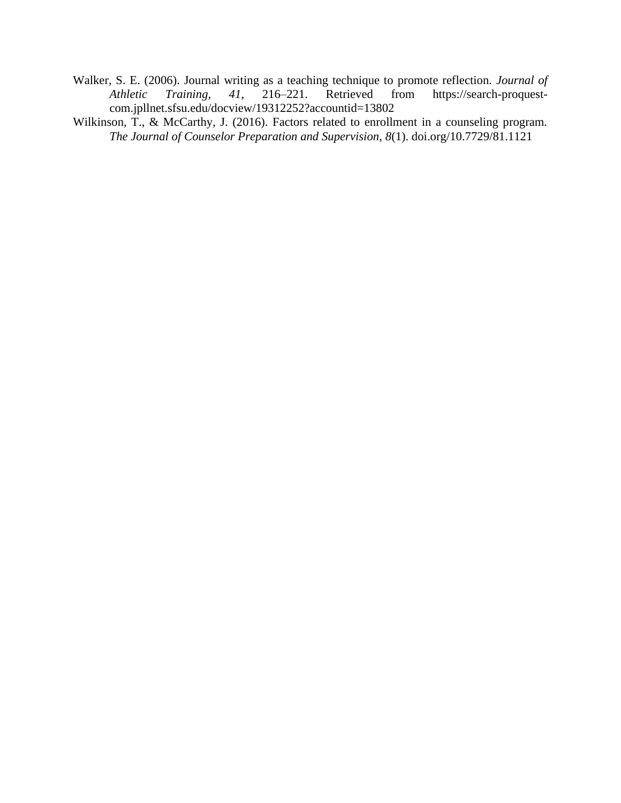- Walker, S. E. (2006). Journal writing as a teaching technique to promote reflection. *Journal of Athletic Training, 41*, 216–221. Retrieved from https://search-proquestcom.jpllnet.sfsu.edu/docview/19312252?accountid=13802
- Wilkinson, T., & McCarthy, J. (2016). Factors related to enrollment in a counseling program. *The Journal of Counselor Preparation and Supervision, 8*(1). doi.org/10.7729/81.1121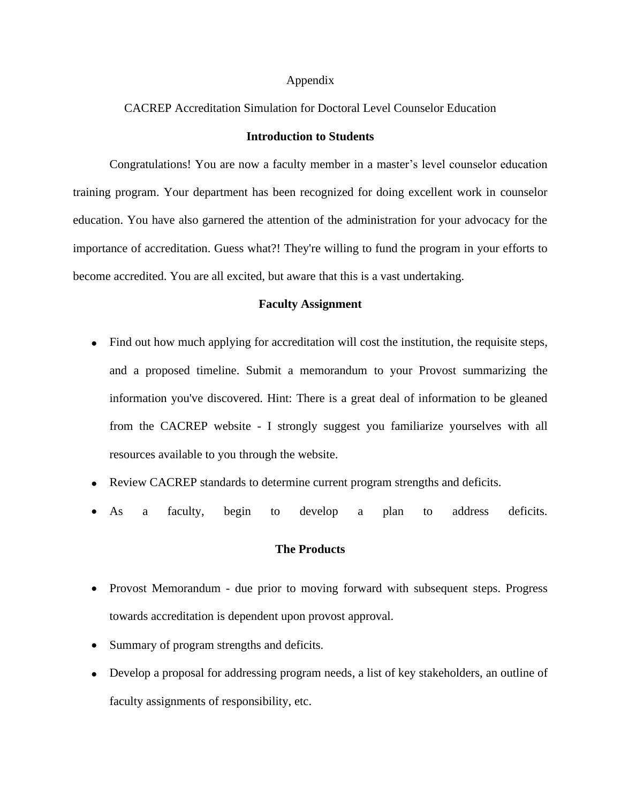## Appendix

# CACREP Accreditation Simulation for Doctoral Level Counselor Education

## **Introduction to Students**

Congratulations! You are now a faculty member in a master's level counselor education training program. Your department has been recognized for doing excellent work in counselor education. You have also garnered the attention of the administration for your advocacy for the importance of accreditation. Guess what?! They're willing to fund the program in your efforts to become accredited. You are all excited, but aware that this is a vast undertaking.

# **Faculty Assignment**

- Find out how much applying for accreditation will cost the institution, the requisite steps, and a proposed timeline. Submit a memorandum to your Provost summarizing the information you've discovered. Hint: There is a great deal of information to be gleaned from the CACREP website - I strongly suggest you familiarize yourselves with all resources available to you through the website.
- Review CACREP standards to determine current program strengths and deficits.
- As a faculty, begin to develop a plan to address deficits.

# **The Products**

- Provost Memorandum due prior to moving forward with subsequent steps. Progress towards accreditation is dependent upon provost approval.
- Summary of program strengths and deficits.
- Develop a proposal for addressing program needs, a list of key stakeholders, an outline of faculty assignments of responsibility, etc.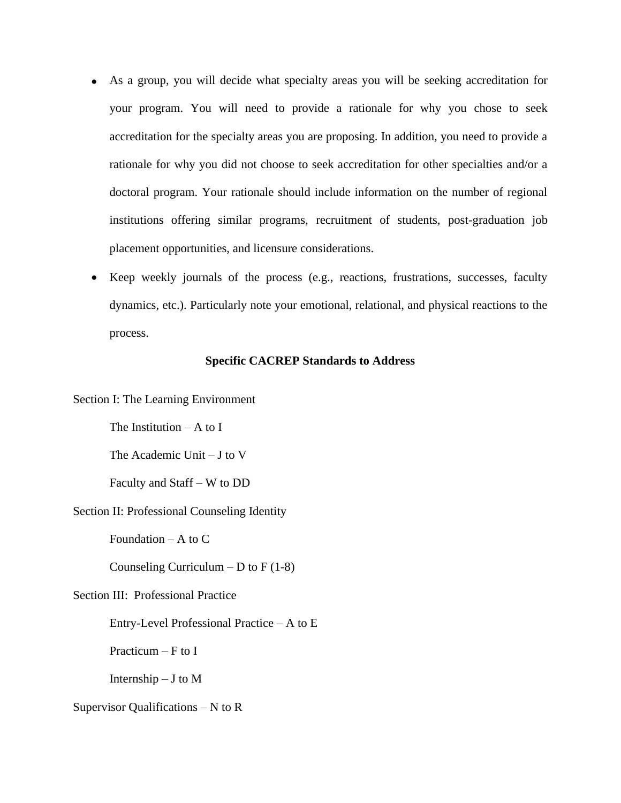- As a group, you will decide what specialty areas you will be seeking accreditation for your program. You will need to provide a rationale for why you chose to seek accreditation for the specialty areas you are proposing. In addition, you need to provide a rationale for why you did not choose to seek accreditation for other specialties and/or a doctoral program. Your rationale should include information on the number of regional institutions offering similar programs, recruitment of students, post-graduation job placement opportunities, and licensure considerations.
- Keep weekly journals of the process (e.g., reactions, frustrations, successes, faculty dynamics, etc.). Particularly note your emotional, relational, and physical reactions to the process.

### **Specific CACREP Standards to Address**

Section I: The Learning Environment

The Institution  $- A$  to I

The Academic Unit – J to V

Faculty and Staff – W to DD

Section II: Professional Counseling Identity

Foundation  $- A$  to  $C$ 

Counseling Curriculum – D to  $F(1-8)$ 

Section III: Professional Practice

Entry-Level Professional Practice – A to E

Practicum  $-F$  to I

Internship  $-J$  to M

Supervisor Qualifications – N to R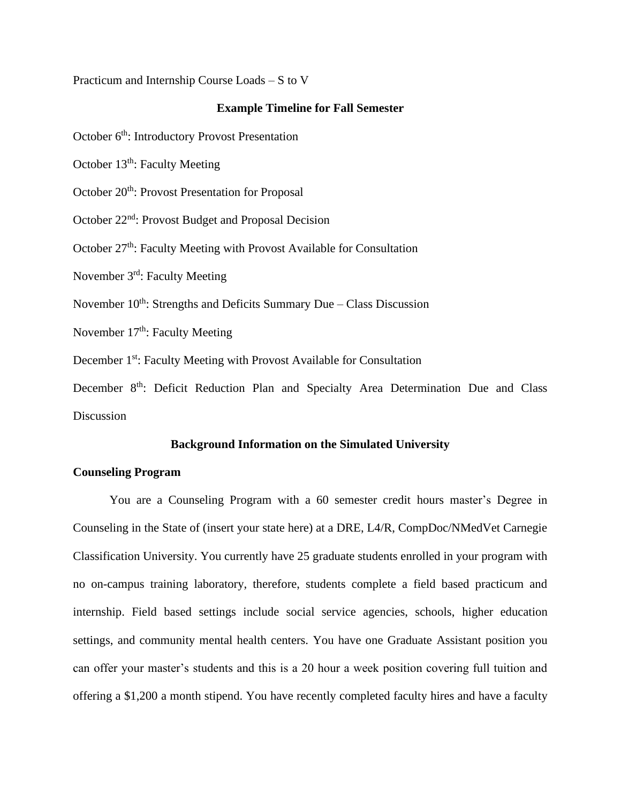Practicum and Internship Course Loads – S to V

# **Example Timeline for Fall Semester**

October 6<sup>th</sup>: Introductory Provost Presentation

October 13<sup>th</sup>: Faculty Meeting

October 20<sup>th</sup>: Provost Presentation for Proposal

October 22nd: Provost Budget and Proposal Decision

October  $27<sup>th</sup>$ : Faculty Meeting with Provost Available for Consultation

November 3rd: Faculty Meeting

November  $10^{th}$ : Strengths and Deficits Summary Due – Class Discussion

November  $17<sup>th</sup>$ : Faculty Meeting

December 1<sup>st</sup>: Faculty Meeting with Provost Available for Consultation

December 8<sup>th</sup>: Deficit Reduction Plan and Specialty Area Determination Due and Class Discussion

# **Background Information on the Simulated University**

# **Counseling Program**

You are a Counseling Program with a 60 semester credit hours master's Degree in Counseling in the State of (insert your state here) at a DRE, L4/R, CompDoc/NMedVet Carnegie Classification University. You currently have 25 graduate students enrolled in your program with no on-campus training laboratory, therefore, students complete a field based practicum and internship. Field based settings include social service agencies, schools, higher education settings, and community mental health centers. You have one Graduate Assistant position you can offer your master's students and this is a 20 hour a week position covering full tuition and offering a \$1,200 a month stipend. You have recently completed faculty hires and have a faculty